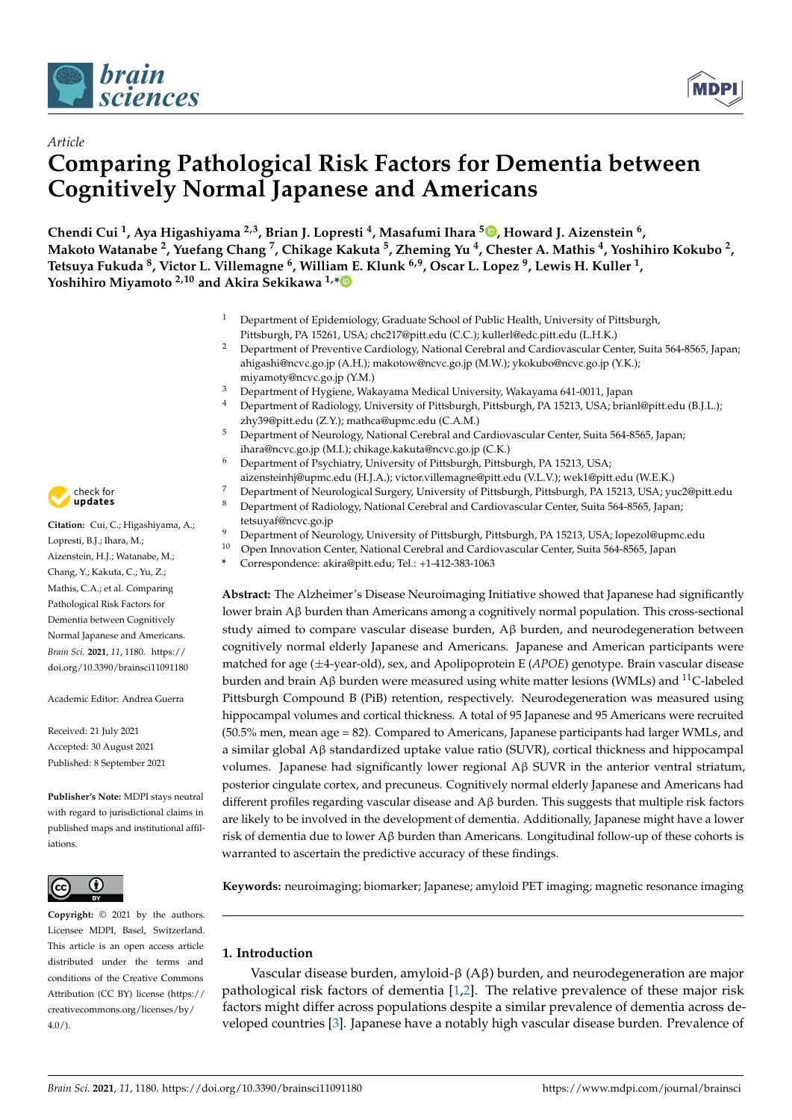

*Article*



# **Comparing Pathological Risk Factors for Dementia between Cognitively Normal Japanese and Americans**

**Chendi Cui <sup>1</sup> , Aya Higashiyama 2,3, Brian J. Lopresti <sup>4</sup> , Masafumi Ihara <sup>5</sup> [,](https://orcid.org/0000-0002-7102-4048) Howard J. Aizenstein <sup>6</sup> ,** Makoto Watanabe <sup>2</sup>, Yuefang Chang <sup>7</sup>, Chikage Kakuta <sup>5</sup>, Zheming Yu <sup>4</sup>, Chester A. Mathis <sup>4</sup>, Yoshihiro Kokubo <sup>2</sup>, **Tetsuya Fukuda <sup>8</sup> , Victor L. Villemagne <sup>6</sup> , William E. Klunk 6,9, Oscar L. Lopez <sup>9</sup> , Lewis H. Kuller <sup>1</sup> , Yoshihiro Miyamoto 2,10 and Akira Sekikawa 1,[\\*](https://orcid.org/0000-0002-7197-6321)**

- <sup>1</sup> Department of Epidemiology, Graduate School of Public Health, University of Pittsburgh, Pittsburgh, PA 15261, USA; chc217@pitt.edu (C.C.); kullerl@edc.pitt.edu (L.H.K.)
- <sup>2</sup> Department of Preventive Cardiology, National Cerebral and Cardiovascular Center, Suita 564-8565, Japan; ahigashi@ncvc.go.jp (A.H.); makotow@ncvc.go.jp (M.W.); ykokubo@ncvc.go.jp (Y.K.); miyamoty@ncvc.go.jp (Y.M.)
- <sup>3</sup> Department of Hygiene, Wakayama Medical University, Wakayama 641-0011, Japan
- Department of Radiology, University of Pittsburgh, Pittsburgh, PA 15213, USA; brianl@pitt.edu (B.J.L.); zhy39@pitt.edu (Z.Y.); mathca@upmc.edu (C.A.M.)
- <sup>5</sup> Department of Neurology, National Cerebral and Cardiovascular Center, Suita 564-8565, Japan; ihara@ncvc.go.jp (M.I.); chikage.kakuta@ncvc.go.jp (C.K.)
- <sup>6</sup> Department of Psychiatry, University of Pittsburgh, Pittsburgh, PA 15213, USA;
- aizensteinhj@upmc.edu (H.J.A.); victor.villemagne@pitt.edu (V.L.V.); wek1@pitt.edu (W.E.K.)
- <sup>7</sup> Department of Neurological Surgery, University of Pittsburgh, Pittsburgh, PA 15213, USA; yuc2@pitt.edu
	- <sup>8</sup> Department of Radiology, National Cerebral and Cardiovascular Center, Suita 564-8565, Japan; tetsuyaf@ncvc.go.jp
- 9 Department of Neurology, University of Pittsburgh, Pittsburgh, PA 15213, USA; lopezol@upmc.edu<br>10 Open Innovation Center, National Cerchael and Certiausesular Center, Suite 564, 8565. Japan
	- <sup>10</sup> Open Innovation Center, National Cerebral and Cardiovascular Center, Suita 564-8565, Japan
- **\*** Correspondence: akira@pitt.edu; Tel.: +1-412-383-1063

**Abstract:** The Alzheimer's Disease Neuroimaging Initiative showed that Japanese had significantly lower brain Aβ burden than Americans among a cognitively normal population. This cross-sectional study aimed to compare vascular disease burden, Aβ burden, and neurodegeneration between cognitively normal elderly Japanese and Americans. Japanese and American participants were matched for age (±4-year-old), sex, and Apolipoprotein E (*APOE*) genotype. Brain vascular disease burden and brain A $\beta$  burden were measured using white matter lesions (WMLs) and <sup>11</sup>C-labeled Pittsburgh Compound B (PiB) retention, respectively. Neurodegeneration was measured using hippocampal volumes and cortical thickness. A total of 95 Japanese and 95 Americans were recruited (50.5% men, mean age = 82). Compared to Americans, Japanese participants had larger WMLs, and a similar global Aβ standardized uptake value ratio (SUVR), cortical thickness and hippocampal volumes. Japanese had significantly lower regional Aβ SUVR in the anterior ventral striatum, posterior cingulate cortex, and precuneus. Cognitively normal elderly Japanese and Americans had different profiles regarding vascular disease and Aβ burden. This suggests that multiple risk factors are likely to be involved in the development of dementia. Additionally, Japanese might have a lower risk of dementia due to lower Aβ burden than Americans. Longitudinal follow-up of these cohorts is warranted to ascertain the predictive accuracy of these findings.

**Keywords:** neuroimaging; biomarker; Japanese; amyloid PET imaging; magnetic resonance imaging

# **1. Introduction**

Vascular disease burden, amyloid-β (Aβ) burden, and neurodegeneration are major pathological risk factors of dementia [\[1](#page-8-0)[,2\]](#page-8-1). The relative prevalence of these major risk factors might differ across populations despite a similar prevalence of dementia across developed countries [\[3\]](#page-8-2). Japanese have a notably high vascular disease burden. Prevalence of



**Citation:** Cui, C.; Higashiyama, A.; Lopresti, B.J.; Ihara, M.; Aizenstein, H.J.; Watanabe, M.; Chang, Y.; Kakuta, C.; Yu, Z.; Mathis, C.A.; et al. Comparing Pathological Risk Factors for Dementia between Cognitively Normal Japanese and Americans. *Brain Sci.* **2021**, *11*, 1180. [https://](https://doi.org/10.3390/brainsci11091180) [doi.org/10.3390/brainsci11091180](https://doi.org/10.3390/brainsci11091180)

Academic Editor: Andrea Guerra

Received: 21 July 2021 Accepted: 30 August 2021 Published: 8 September 2021

**Publisher's Note:** MDPI stays neutral with regard to jurisdictional claims in published maps and institutional affiliations.



**Copyright:** © 2021 by the authors. Licensee MDPI, Basel, Switzerland. This article is an open access article distributed under the terms and conditions of the Creative Commons Attribution (CC BY) license (https:/[/](https://creativecommons.org/licenses/by/4.0/) [creativecommons.org/licenses/by/](https://creativecommons.org/licenses/by/4.0/)  $4.0/$ ).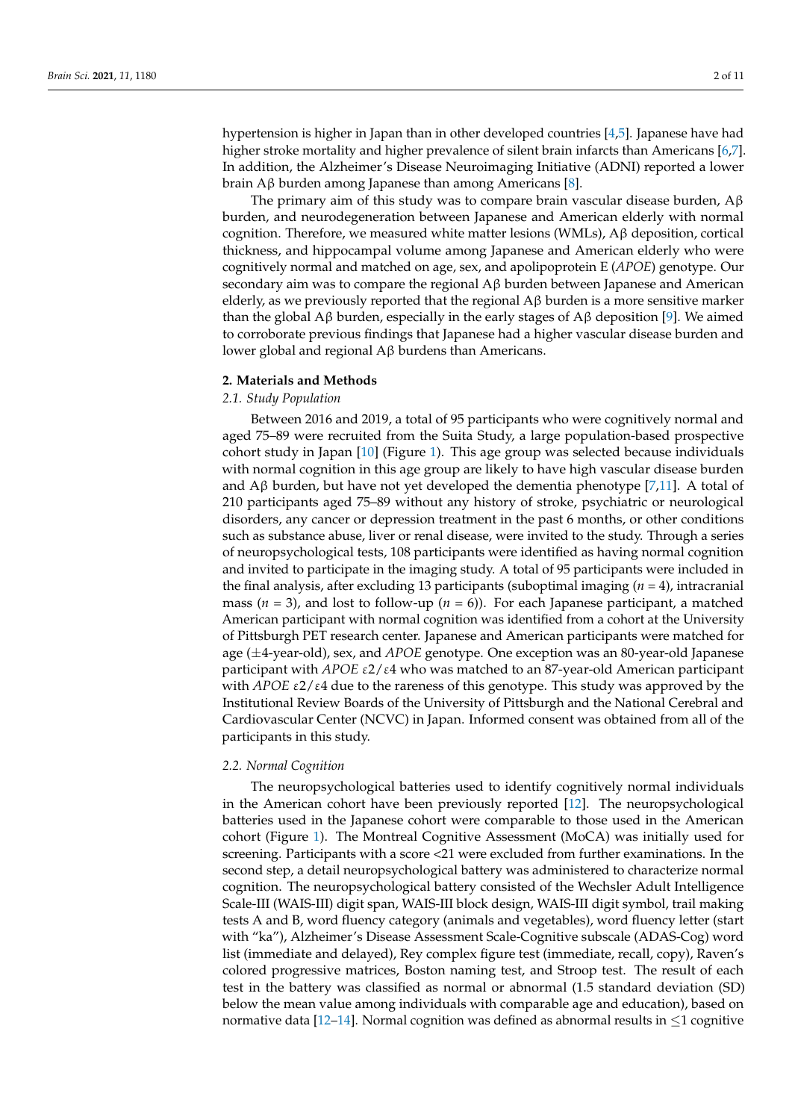hypertension is higher in Japan than in other developed countries [\[4,](#page-8-3)[5\]](#page-8-4). Japanese have had higher stroke mortality and higher prevalence of silent brain infarcts than Americans [\[6,](#page-8-5)[7\]](#page-8-6). In addition, the Alzheimer's Disease Neuroimaging Initiative (ADNI) reported a lower

The primary aim of this study was to compare brain vascular disease burden,  $A\beta$ burden, and neurodegeneration between Japanese and American elderly with normal cognition. Therefore, we measured white matter lesions (WMLs), Aβ deposition, cortical thickness, and hippocampal volume among Japanese and American elderly who were cognitively normal and matched on age, sex, and apolipoprotein E (*APOE*) genotype. Our secondary aim was to compare the regional  $A\beta$  burden between Japanese and American elderly, as we previously reported that the regional  $A\beta$  burden is a more sensitive marker than the global Aβ burden, especially in the early stages of Aβ deposition [\[9\]](#page-8-8). We aimed to corroborate previous findings that Japanese had a higher vascular disease burden and lower global and regional Aβ burdens than Americans.

brain Aβ burden among Japanese than among Americans [\[8\]](#page-8-7).

#### **2. Materials and Methods**

#### *2.1. Study Population*

Between 2016 and 2019, a total of 95 participants who were cognitively normal and aged 75–89 were recruited from the Suita Study, a large population-based prospective cohort study in Japan [\[10\]](#page-8-9) (Figure [1\)](#page-2-0). This age group was selected because individuals with normal cognition in this age group are likely to have high vascular disease burden and  $A\beta$  burden, but have not yet developed the dementia phenotype [\[7,](#page-8-6)[11\]](#page-8-10). A total of 210 participants aged 75–89 without any history of stroke, psychiatric or neurological disorders, any cancer or depression treatment in the past 6 months, or other conditions such as substance abuse, liver or renal disease, were invited to the study. Through a series of neuropsychological tests, 108 participants were identified as having normal cognition and invited to participate in the imaging study. A total of 95 participants were included in the final analysis, after excluding 13 participants (suboptimal imaging (*n* = 4), intracranial mass ( $n = 3$ ), and lost to follow-up ( $n = 6$ )). For each Japanese participant, a matched American participant with normal cognition was identified from a cohort at the University of Pittsburgh PET research center. Japanese and American participants were matched for age (±4-year-old), sex, and *APOE* genotype. One exception was an 80-year-old Japanese participant with *APOE* ε2/ε4 who was matched to an 87-year-old American participant with *APOE*  $\epsilon$ 2/ $\epsilon$ 4 due to the rareness of this genotype. This study was approved by the Institutional Review Boards of the University of Pittsburgh and the National Cerebral and Cardiovascular Center (NCVC) in Japan. Informed consent was obtained from all of the participants in this study.

#### *2.2. Normal Cognition*

The neuropsychological batteries used to identify cognitively normal individuals in the American cohort have been previously reported [\[12\]](#page-8-11). The neuropsychological batteries used in the Japanese cohort were comparable to those used in the American cohort (Figure [1\)](#page-2-0). The Montreal Cognitive Assessment (MoCA) was initially used for screening. Participants with a score <21 were excluded from further examinations. In the second step, a detail neuropsychological battery was administered to characterize normal cognition. The neuropsychological battery consisted of the Wechsler Adult Intelligence Scale-III (WAIS-III) digit span, WAIS-III block design, WAIS-III digit symbol, trail making tests A and B, word fluency category (animals and vegetables), word fluency letter (start with "ka"), Alzheimer's Disease Assessment Scale-Cognitive subscale (ADAS-Cog) word list (immediate and delayed), Rey complex figure test (immediate, recall, copy), Raven's colored progressive matrices, Boston naming test, and Stroop test. The result of each test in the battery was classified as normal or abnormal (1.5 standard deviation (SD) below the mean value among individuals with comparable age and education), based on normative data [\[12–](#page-8-11)[14\]](#page-9-0). Normal cognition was defined as abnormal results in  $\leq 1$  cognitive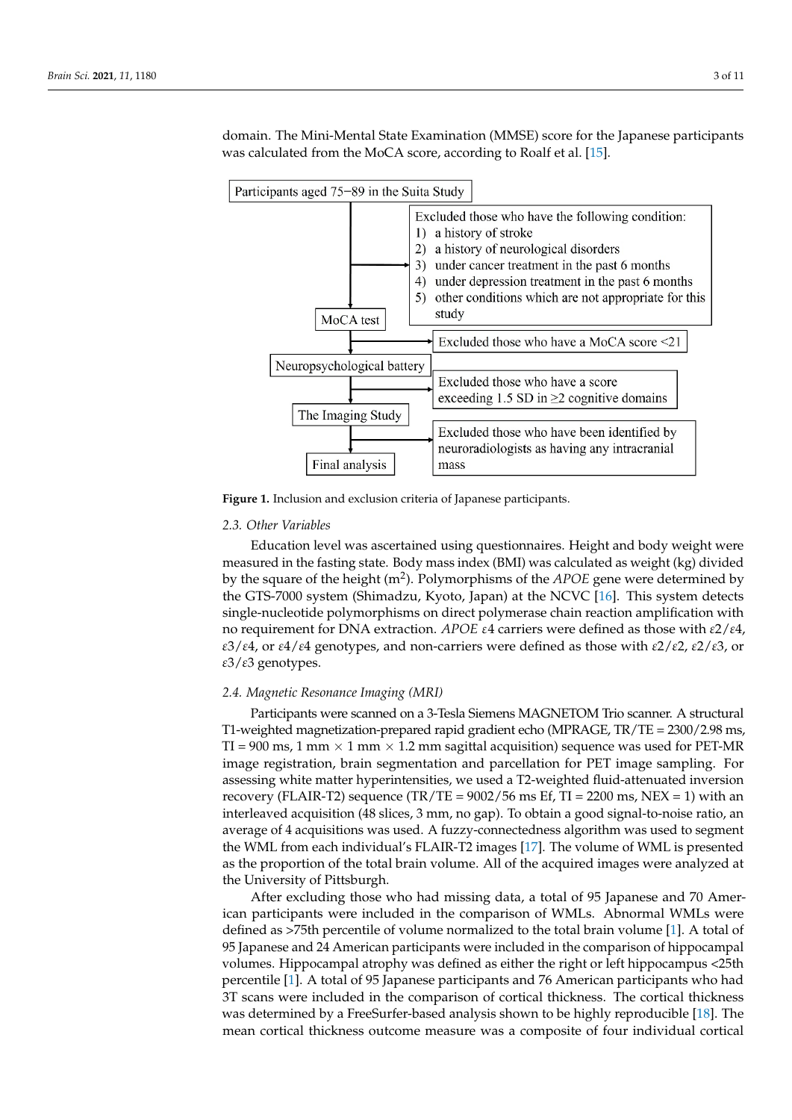domain. The Mini-Mental State Examination (MMSE) score for the Japanese participants was calculated from the MoCA score, according to Roalf et al. [\[15\]](#page-9-1).

<span id="page-2-0"></span>

**Figure 1.** Inclusion and exclusion criteria of Japanese participants. **Figure 1.** Inclusion and exclusion criteria of Japanese participants.

## *2.2. Normal Cognition 2.3. Other Variables*

Education level was ascertained using questionnaires. Height and body weight were measured in the fasting state. Body mass index (BMI) was calculated as weight (kg) divided by the square of the height (m<sup>2</sup>). Polymorphisms of the *APOE* gene were determined by the GTS-7000 system (Shimadzu, Kyoto, Japan) at the NCVC [\[16\]](#page-9-2). This system detects single-nucleotide polymorphisms on direct polymerase chain reaction amplification with no requirement for DNA extraction. *APOE* ε4 carriers were defined as those with *ε*2/*ε*4, ε3/ε4, or ε4/ε4 genotypes, and non-carriers were defined as those with ε2/ε2, ε2/ε3, or  $\mathcal{L}(\mathcal{S})$  are genoty pes. *ε*3/*ε*3 genotypes.

# 2.4. Magnetic Resonance Imaging (MRI)

 $\mathbb{R}$  , Alzheimer's Disease Assessment Scales-Cognitive subscriber subscriber subscriber subscriber  $\mathbb{R}$ Participants were scanned on a 3-Tesla Siemens MAGNETOM Trio scanner. A structural T1-weighted magnetization-prepared rapid gradient echo (MPRAGE,  $TR/TE = 2300/2.98$  ms,  $TR = 2300/2.98$  ms, TI = 900 ms, 1 mm  $\times$  1 mm  $\times$  1.2 mm sagittal acquisition) sequence was used for PET-MR image registration, brain segmentation and parcellation for PET image sampling. For<br>increasing reliable and the brain threating are not do T2 match of 0 side of the part discoveries.  $\alpha$  assessing white matter hypermiteristics, we used a 12 weighted hard attendated inversion recovery (FLAIR-T2) sequence (TR/TE = 9002/56 ms Ef, TI = 2200 ms, NEX = 1) with an interleaved acquisition (48 slices, 3 mm, no gap). To obtain a good signal-to-noise ratio, an interleaved acquisition (48 slices, 3 mm, no gap). To obtain a good signal-to-noise ratio, an mericaved acquisition (16 shees, 3 mm, 16 gap). To seturn a good signal to noise ratio, and average of 4 acquisitions was used. A fuzzy-connectedness algorithm was used to segment are *WWE Hold cast marviouds 3.1 EVIIX 12 mages* [17]. The volume of *WWE IS* presented as the proportion of the total brain volume. All of the acquired images were analyzed at assessing white matter hyperintensities, we used a T2-weighted fluid-attenuated inversion the WML from each individual's FLAIR-T2 images [\[17\]](#page-9-3). The volume of WML is presented the University of Pittsburgh.

After excluding those who had missing data, a total of 95 Japanese and 70 American participants were included in the comparison of WMLs. Abnormal WMLs were defined as >75th percentile of volume normalized to the total brain volume [1]. A total of 95 Japanese and 24 American participants were included in the comparison of hippocampal volumes. Hippocampal atrophy was defined as either the right or left hippocampus <25th percentile [\[1\]](#page-8-0). A total of 95 Japanese participants and 76 American participants who had 3T scans were included in the comparison of cortical thickness. The cortical thickness was determined by a FreeSurfer-based analysis shown to be highly reproducible [\[18\]](#page-9-4). The mean cortical thickness outcome measure was a composite of four individual cortical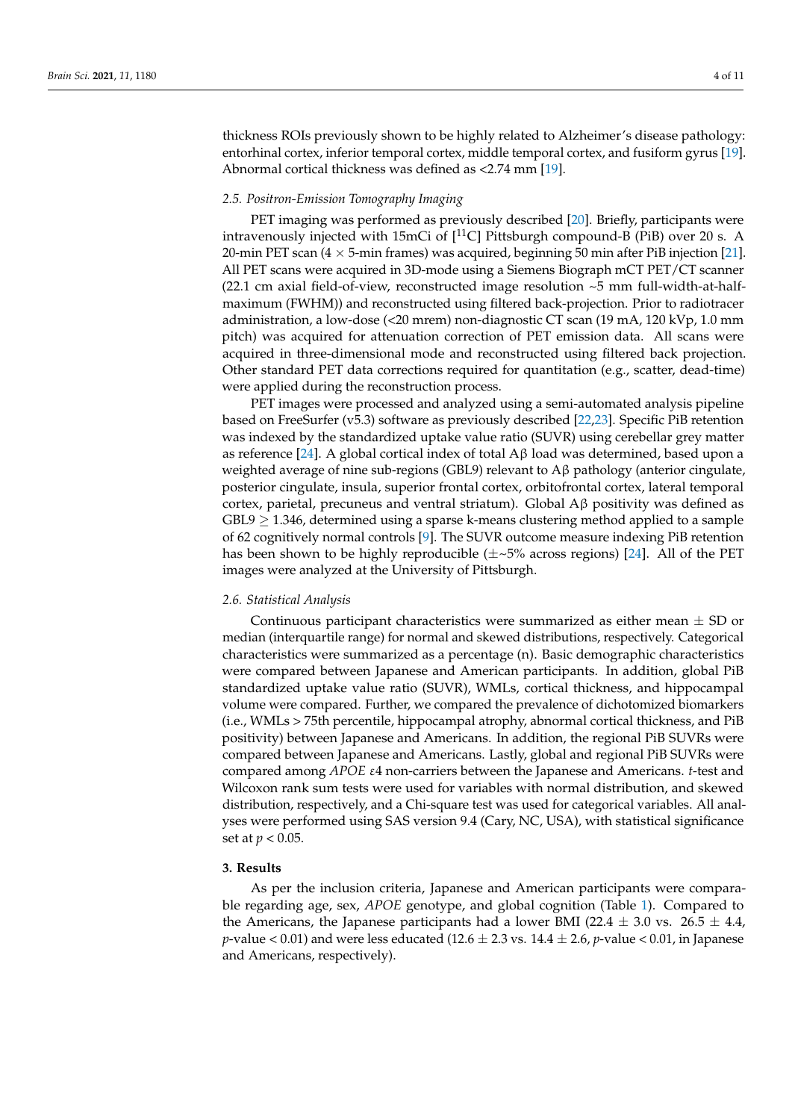thickness ROIs previously shown to be highly related to Alzheimer's disease pathology: entorhinal cortex, inferior temporal cortex, middle temporal cortex, and fusiform gyrus [\[19\]](#page-9-5). Abnormal cortical thickness was defined as <2.74 mm [\[19\]](#page-9-5).

#### *2.5. Positron-Emission Tomography Imaging*

PET imaging was performed as previously described [\[20\]](#page-9-6). Briefly, participants were intravenously injected with 15mCi of  $[^{11}C]$  Pittsburgh compound-B (PiB) over 20 s. A 20-min PET scan (4  $\times$  5-min frames) was acquired, beginning 50 min after PiB injection [\[21\]](#page-9-7). All PET scans were acquired in 3D-mode using a Siemens Biograph mCT PET/CT scanner (22.1 cm axial field-of-view, reconstructed image resolution  $\sim$  5 mm full-width-at-halfmaximum (FWHM)) and reconstructed using filtered back-projection. Prior to radiotracer administration, a low-dose (<20 mrem) non-diagnostic CT scan (19 mA, 120 kVp, 1.0 mm pitch) was acquired for attenuation correction of PET emission data. All scans were acquired in three-dimensional mode and reconstructed using filtered back projection. Other standard PET data corrections required for quantitation (e.g., scatter, dead-time) were applied during the reconstruction process.

PET images were processed and analyzed using a semi-automated analysis pipeline based on FreeSurfer (v5.3) software as previously described [\[22,](#page-9-8)[23\]](#page-9-9). Specific PiB retention was indexed by the standardized uptake value ratio (SUVR) using cerebellar grey matter as reference [\[24\]](#page-9-10). A global cortical index of total  $\text{A} \beta$  load was determined, based upon a weighted average of nine sub-regions (GBL9) relevant to Aβ pathology (anterior cingulate, posterior cingulate, insula, superior frontal cortex, orbitofrontal cortex, lateral temporal cortex, parietal, precuneus and ventral striatum). Global Aβ positivity was defined as  $GBL9 \geq 1.346$ , determined using a sparse k-means clustering method applied to a sample of 62 cognitively normal controls [\[9\]](#page-8-8). The SUVR outcome measure indexing PiB retention has been shown to be highly reproducible  $(\pm \sim 5\%$  across regions) [\[24\]](#page-9-10). All of the PET images were analyzed at the University of Pittsburgh.

#### *2.6. Statistical Analysis*

Continuous participant characteristics were summarized as either mean  $\pm$  SD or median (interquartile range) for normal and skewed distributions, respectively. Categorical characteristics were summarized as a percentage (n). Basic demographic characteristics were compared between Japanese and American participants. In addition, global PiB standardized uptake value ratio (SUVR), WMLs, cortical thickness, and hippocampal volume were compared. Further, we compared the prevalence of dichotomized biomarkers (i.e., WMLs > 75th percentile, hippocampal atrophy, abnormal cortical thickness, and PiB positivity) between Japanese and Americans. In addition, the regional PiB SUVRs were compared between Japanese and Americans. Lastly, global and regional PiB SUVRs were compared among *APOE* ε4 non-carriers between the Japanese and Americans. *t*-test and Wilcoxon rank sum tests were used for variables with normal distribution, and skewed distribution, respectively, and a Chi-square test was used for categorical variables. All analyses were performed using SAS version 9.4 (Cary, NC, USA), with statistical significance set at *p* < 0.05.

#### **3. Results**

As per the inclusion criteria, Japanese and American participants were comparable regarding age, sex, *APOE* genotype, and global cognition (Table [1\)](#page-4-0). Compared to the Americans, the Japanese participants had a lower BMI (22.4  $\pm$  3.0 vs. 26.5  $\pm$  4.4, *p*-value  $<$  0.01) and were less educated (12.6  $\pm$  2.3 vs. 14.4  $\pm$  2.6, *p*-value  $<$  0.01, in Japanese and Americans, respectively).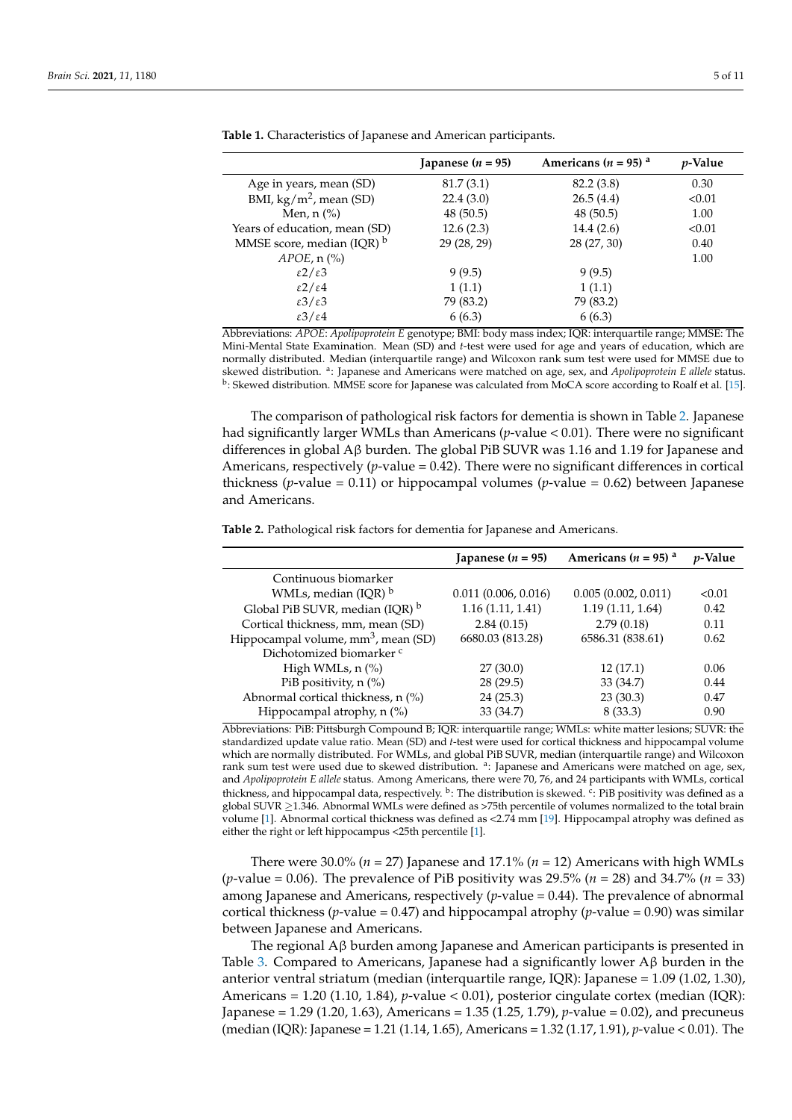|                                     | Japanese $(n = 95)$ | Americans ( $n = 95$ ) <sup>a</sup> | <i>p</i> -Value |
|-------------------------------------|---------------------|-------------------------------------|-----------------|
| Age in years, mean (SD)             | 81.7(3.1)           | 82.2 (3.8)                          | 0.30            |
| BMI, $\text{kg/m}^2$ , mean (SD)    | 22.4(3.0)           | 26.5(4.4)                           | < 0.01          |
| Men, $n$ $\left(\frac{9}{6}\right)$ | 48(50.5)            | 48(50.5)                            | 1.00            |
| Years of education, mean (SD)       | 12.6(2.3)           | 14.4(2.6)                           | < 0.01          |
| MMSE score, median $(IQR)^{b}$      | 29 (28, 29)         | 28 (27, 30)                         | 0.40            |
| $APOE$ , n $(\%)$                   |                     |                                     | 1.00            |
| $\epsilon$ 2/ $\epsilon$ 3          | 9(9.5)              | 9(9.5)                              |                 |
| $\epsilon$ 2/ $\epsilon$ 4          | 1(1.1)              | 1(1.1)                              |                 |
| $\epsilon$ 3/ $\epsilon$ 3          | 79 (83.2)           | 79 (83.2)                           |                 |
| $\epsilon$ 3/ $\epsilon$ 4          | 6(6.3)              | 6(6.3)                              |                 |

<span id="page-4-0"></span>**Table 1.** Characteristics of Japanese and American participants.

Abbreviations: *APOE*: *Apolipoprotein E* genotype; BMI: body mass index; IQR: interquartile range; MMSE: The Mini-Mental State Examination. Mean (SD) and *t*-test were used for age and years of education, which are normally distributed. Median (interquartile range) and Wilcoxon rank sum test were used for MMSE due to skewed distribution. <sup>a</sup> : Japanese and Americans were matched on age, sex, and *Apolipoprotein E allele* status. <sup>b</sup>: Skewed distribution. MMSE score for Japanese was calculated from MoCA score according to Roalf et al. [\[15\]](#page-9-1).

The comparison of pathological risk factors for dementia is shown in Table [2.](#page-4-1) Japanese had significantly larger WMLs than Americans (*p*-value < 0.01). There were no significant differences in global Aβ burden. The global PiB SUVR was 1.16 and 1.19 for Japanese and Americans, respectively ( $p$ -value = 0.42). There were no significant differences in cortical thickness (*p*-value = 0.11) or hippocampal volumes (*p*-value = 0.62) between Japanese and Americans.

<span id="page-4-1"></span>**Table 2.** Pathological risk factors for dementia for Japanese and Americans.

|                                                 | Japanese ( $n = 95$ ) | Americans ( $n = 95$ ) a | <i>v</i> -Value |
|-------------------------------------------------|-----------------------|--------------------------|-----------------|
| Continuous biomarker                            |                       |                          |                 |
| WMLs, median $( IQR)^b$                         | 0.011(0.006, 0.016)   | 0.005(0.002, 0.011)      | < 0.01          |
| Global PiB SUVR, median (IQR) b                 | 1.16(1.11, 1.41)      | 1.19(1.11, 1.64)         | 0.42            |
| Cortical thickness, mm, mean (SD)               | 2.84(0.15)            | 2.79(0.18)               | 0.11            |
| Hippocampal volume, mm <sup>3</sup> , mean (SD) | 6680.03 (813.28)      | 6586.31 (838.61)         | 0.62            |
| Dichotomized biomarker <sup>c</sup>             |                       |                          |                 |
| High WMLs, $n$ $\%$                             | 27(30.0)              | 12(17.1)                 | 0.06            |
| PiB positivity, n (%)                           | 28(29.5)              | 33 (34.7)                | 0.44            |
| Abnormal cortical thickness, n (%)              | 24(25.3)              | 23(30.3)                 | 0.47            |
| Hippocampal atrophy, $n$ (%)                    | 33 (34.7)             | 8(33.3)                  | 0.90            |

Abbreviations: PiB: Pittsburgh Compound B; IQR: interquartile range; WMLs: white matter lesions; SUVR: the standardized update value ratio. Mean (SD) and *t*-test were used for cortical thickness and hippocampal volume which are normally distributed. For WMLs, and global PiB SUVR, median (interquartile range) and Wilcoxon rank sum test were used due to skewed distribution. <sup>a</sup>: Japanese and Americans were matched on age, sex, and *Apolipoprotein E allele* status. Among Americans, there were 70, 76, and 24 participants with WMLs, cortical thickness, and hippocampal data, respectively. <sup>b</sup>: The distribution is skewed. <sup>c</sup>: PiB positivity was defined as a global SUVR ≥1.346. Abnormal WMLs were defined as >75th percentile of volumes normalized to the total brain volume [\[1\]](#page-8-0). Abnormal cortical thickness was defined as <2.74 mm [\[19\]](#page-9-5). Hippocampal atrophy was defined as either the right or left hippocampus <25th percentile [\[1\]](#page-8-0).

There were  $30.0\%$  ( $n = 27$ ) Japanese and  $17.1\%$  ( $n = 12$ ) Americans with high WMLs (*p*-value = 0.06). The prevalence of PiB positivity was 29.5% (*n* = 28) and 34.7% (*n* = 33) among Japanese and Americans, respectively (*p*-value = 0.44). The prevalence of abnormal cortical thickness (*p*-value = 0.47) and hippocampal atrophy (*p*-value = 0.90) was similar between Japanese and Americans.

The regional Aβ burden among Japanese and American participants is presented in Table [3.](#page-5-0) Compared to Americans, Japanese had a significantly lower  $A\beta$  burden in the anterior ventral striatum (median (interquartile range, IQR): Japanese = 1.09 (1.02, 1.30), Americans = 1.20 (1.10, 1.84), *p*-value < 0.01), posterior cingulate cortex (median (IQR): Japanese = 1.29 (1.20, 1.63), Americans = 1.35 (1.25, 1.79), *p*-value = 0.02), and precuneus (median (IQR): Japanese = 1.21 (1.14, 1.65), Americans = 1.32 (1.17, 1.91), *p*-value < 0.01). The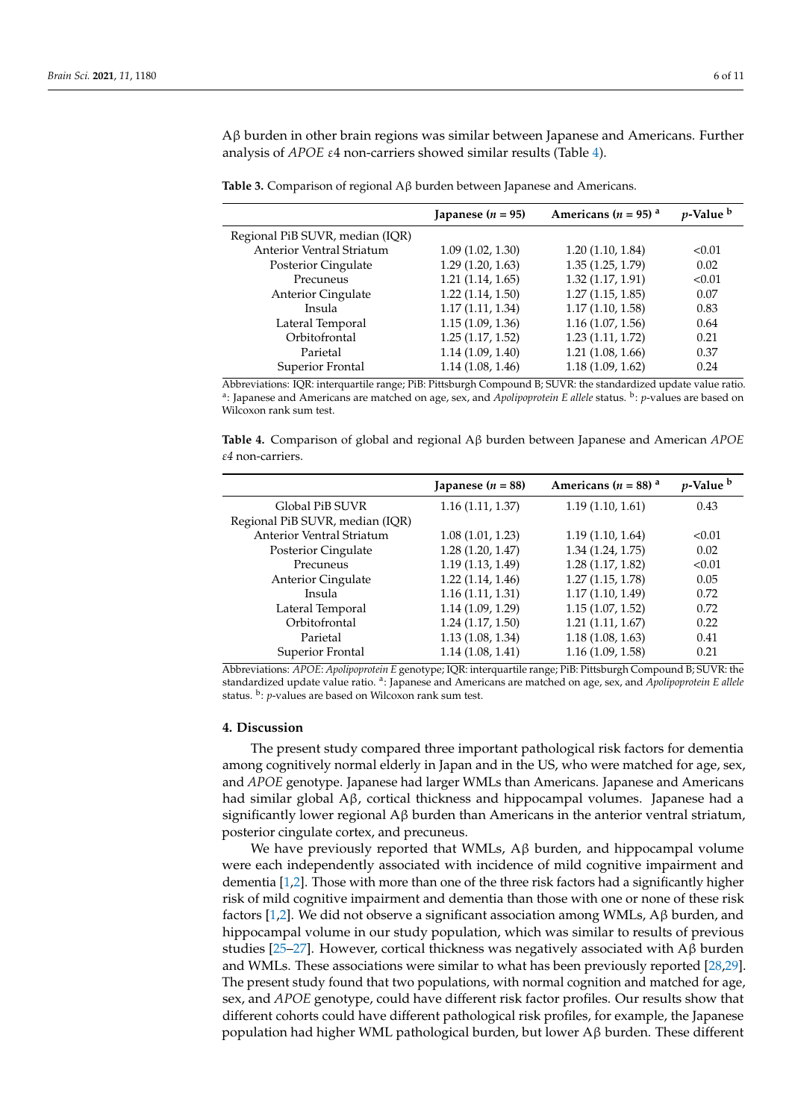Aβ burden in other brain regions was similar between Japanese and Americans. Further analysis of *APOE* ε4 non-carriers showed similar results (Table [4\)](#page-5-1).

<span id="page-5-0"></span>

|                                  | Japanese ( $n = 95$ ) | Americans ( $n = 95$ ) <sup>a</sup> | <i>p</i> -Value <sup>b</sup> |
|----------------------------------|-----------------------|-------------------------------------|------------------------------|
| Regional PiB SUVR, median (IQR)  |                       |                                     |                              |
| <b>Anterior Ventral Striatum</b> | 1.09(1.02, 1.30)      | 1.20(1.10, 1.84)                    | < 0.01                       |
| Posterior Cingulate              | 1.29(1.20, 1.63)      | 1.35(1.25, 1.79)                    | 0.02                         |
| Precuneus                        | 1.21(1.14, 1.65)      | 1.32(1.17, 1.91)                    | < 0.01                       |
| <b>Anterior Cingulate</b>        | 1.22(1.14, 1.50)      | 1.27(1.15, 1.85)                    | 0.07                         |
| Insula                           | 1.17(1.11, 1.34)      | 1.17(1.10, 1.58)                    | 0.83                         |
| Lateral Temporal                 | 1.15(1.09, 1.36)      | 1.16(1.07, 1.56)                    | 0.64                         |
| Orbitofrontal                    | 1.25(1.17, 1.52)      | 1.23(1.11, 1.72)                    | 0.21                         |
| Parietal                         | 1.14(1.09, 1.40)      | 1.21(1.08, 1.66)                    | 0.37                         |
| Superior Frontal                 | 1.14(1.08, 1.46)      | 1.18(1.09, 1.62)                    | 0.24                         |

Abbreviations: IQR: interquartile range; PiB: Pittsburgh Compound B; SUVR: the standardized update value ratio. <sup>a</sup>: Japanese and Americans are matched on age, sex, and *Apolipoprotein E allele* status. <sup>b</sup>: *p*-values are based on Wilcoxon rank sum test.

<span id="page-5-1"></span>**Table 4.** Comparison of global and regional Aβ burden between Japanese and American *APOE ε4* non-carriers.

|                                  | Japanese ( $n = 88$ ) | Americans ( $n = 88$ ) <sup>a</sup> | $p$ -Value $\overline{p}$ |
|----------------------------------|-----------------------|-------------------------------------|---------------------------|
| Global PiB SUVR                  | 1.16(1.11, 1.37)      | 1.19(1.10, 1.61)                    | 0.43                      |
| Regional PiB SUVR, median (IQR)  |                       |                                     |                           |
| <b>Anterior Ventral Striatum</b> | 1.08(1.01, 1.23)      | 1.19(1.10, 1.64)                    | < 0.01                    |
| Posterior Cingulate              | 1.28(1.20, 1.47)      | 1.34(1.24, 1.75)                    | 0.02                      |
| Precuneus                        | 1.19(1.13, 1.49)      | 1.28(1.17, 1.82)                    | < 0.01                    |
| <b>Anterior Cingulate</b>        | 1.22(1.14, 1.46)      | 1.27(1.15, 1.78)                    | 0.05                      |
| Insula                           | 1.16(1.11, 1.31)      | 1.17(1.10, 1.49)                    | 0.72                      |
| Lateral Temporal                 | 1.14(1.09, 1.29)      | 1.15(1.07, 1.52)                    | 0.72                      |
| Orbitofrontal                    | 1.24(1.17, 1.50)      | 1.21(1.11, 1.67)                    | 0.22                      |
| Parietal                         | 1.13(1.08, 1.34)      | 1.18(1.08, 1.63)                    | 0.41                      |
| Superior Frontal                 | 1.14(1.08, 1.41)      | 1.16(1.09, 1.58)                    | 0.21                      |

Abbreviations: *APOE*: *Apolipoprotein E* genotype; IQR: interquartile range; PiB: Pittsburgh Compound B; SUVR: the standardized update value ratio. <sup>a</sup> : Japanese and Americans are matched on age, sex, and *Apolipoprotein E allele* status. <sup>b</sup>: p-values are based on Wilcoxon rank sum test.

#### **4. Discussion**

The present study compared three important pathological risk factors for dementia among cognitively normal elderly in Japan and in the US, who were matched for age, sex, and *APOE* genotype. Japanese had larger WMLs than Americans. Japanese and Americans had similar global Aβ, cortical thickness and hippocampal volumes. Japanese had a significantly lower regional  $\Lambda\beta$  burden than Americans in the anterior ventral striatum, posterior cingulate cortex, and precuneus.

We have previously reported that WMLs, Aβ burden, and hippocampal volume were each independently associated with incidence of mild cognitive impairment and dementia [\[1](#page-8-0)[,2\]](#page-8-1). Those with more than one of the three risk factors had a significantly higher risk of mild cognitive impairment and dementia than those with one or none of these risk factors [\[1](#page-8-0)[,2\]](#page-8-1). We did not observe a significant association among WMLs, Aβ burden, and hippocampal volume in our study population, which was similar to results of previous studies [\[25–](#page-9-11)[27\]](#page-9-12). However, cortical thickness was negatively associated with  $\Lambda$ β burden and WMLs. These associations were similar to what has been previously reported [\[28](#page-9-13)[,29\]](#page-9-14). The present study found that two populations, with normal cognition and matched for age, sex, and *APOE* genotype, could have different risk factor profiles. Our results show that different cohorts could have different pathological risk profiles, for example, the Japanese population had higher WML pathological burden, but lower Aβ burden. These different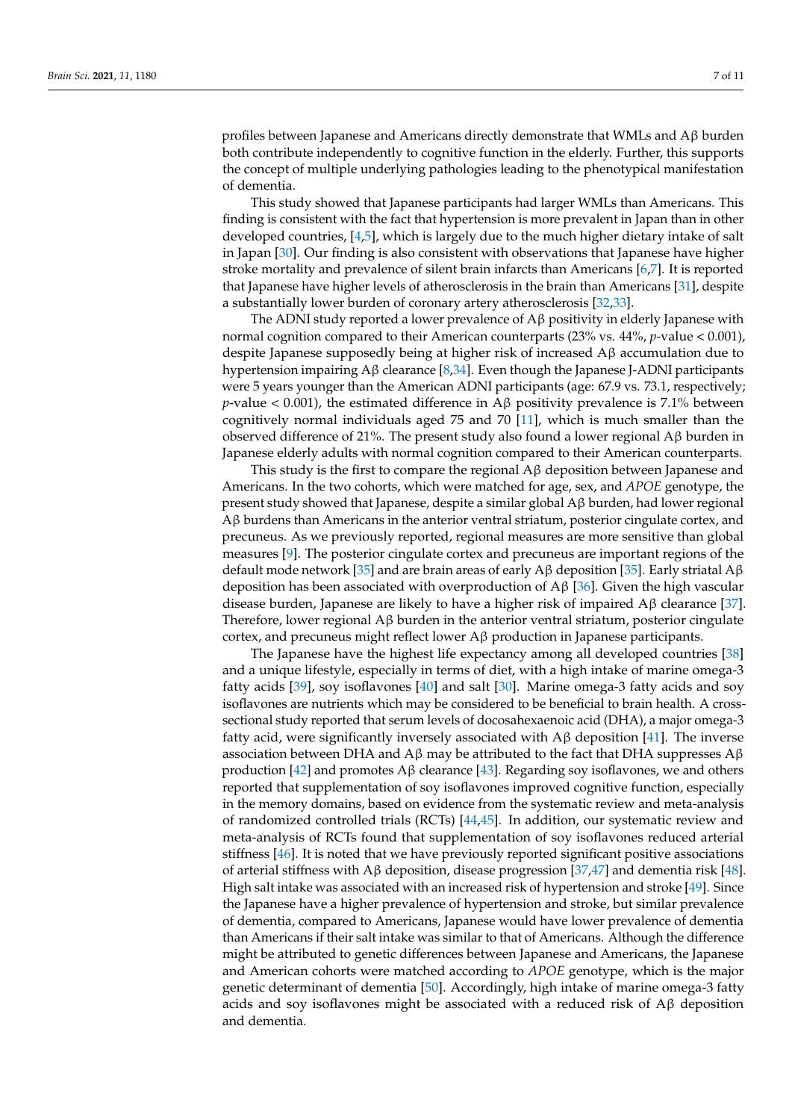profiles between Japanese and Americans directly demonstrate that WMLs and Aβ burden both contribute independently to cognitive function in the elderly. Further, this supports the concept of multiple underlying pathologies leading to the phenotypical manifestation of dementia.

This study showed that Japanese participants had larger WMLs than Americans. This finding is consistent with the fact that hypertension is more prevalent in Japan than in other developed countries, [\[4,](#page-8-3)[5\]](#page-8-4), which is largely due to the much higher dietary intake of salt in Japan [\[30\]](#page-9-15). Our finding is also consistent with observations that Japanese have higher stroke mortality and prevalence of silent brain infarcts than Americans [\[6,](#page-8-5)[7\]](#page-8-6). It is reported that Japanese have higher levels of atherosclerosis in the brain than Americans [\[31\]](#page-9-16), despite a substantially lower burden of coronary artery atherosclerosis [\[32,](#page-9-17)[33\]](#page-9-18).

The ADNI study reported a lower prevalence of  $A\beta$  positivity in elderly Japanese with normal cognition compared to their American counterparts (23% vs. 44%, *p*-value < 0.001), despite Japanese supposedly being at higher risk of increased Aβ accumulation due to hypertension impairing Aβ clearance [\[8](#page-8-7)[,34\]](#page-9-19). Even though the Japanese J-ADNI participants were 5 years younger than the American ADNI participants (age: 67.9 vs. 73.1, respectively; *p*-value < 0.001), the estimated difference in A $\beta$  positivity prevalence is 7.1% between cognitively normal individuals aged 75 and 70 [\[11\]](#page-8-10), which is much smaller than the observed difference of 21%. The present study also found a lower regional Aβ burden in Japanese elderly adults with normal cognition compared to their American counterparts.

This study is the first to compare the regional  $A\beta$  deposition between Japanese and Americans. In the two cohorts, which were matched for age, sex, and *APOE* genotype, the present study showed that Japanese, despite a similar global Aβ burden, had lower regional Aβ burdens than Americans in the anterior ventral striatum, posterior cingulate cortex, and precuneus. As we previously reported, regional measures are more sensitive than global measures [\[9\]](#page-8-8). The posterior cingulate cortex and precuneus are important regions of the default mode network [\[35\]](#page-9-20) and are brain areas of early Aβ deposition [35]. Early striatal  $Aβ$ deposition has been associated with overproduction of Aβ [\[36\]](#page-10-0). Given the high vascular disease burden, Japanese are likely to have a higher risk of impaired  $Aβ$  clearance [\[37\]](#page-10-1). Therefore, lower regional Aβ burden in the anterior ventral striatum, posterior cingulate cortex, and precuneus might reflect lower  $\mathbf{A}\beta$  production in Japanese participants.

The Japanese have the highest life expectancy among all developed countries [\[38\]](#page-10-2) and a unique lifestyle, especially in terms of diet, with a high intake of marine omega-3 fatty acids [\[39\]](#page-10-3), soy isoflavones [\[40\]](#page-10-4) and salt [\[30\]](#page-9-15). Marine omega-3 fatty acids and soy isoflavones are nutrients which may be considered to be beneficial to brain health. A crosssectional study reported that serum levels of docosahexaenoic acid (DHA), a major omega-3 fatty acid, were significantly inversely associated with  $\mathbf{A}\beta$  deposition [\[41\]](#page-10-5). The inverse association between DHA and Aβ may be attributed to the fact that DHA suppresses  $Aβ$ production [\[42\]](#page-10-6) and promotes Aβ clearance [\[43\]](#page-10-7). Regarding soy isoflavones, we and others reported that supplementation of soy isoflavones improved cognitive function, especially in the memory domains, based on evidence from the systematic review and meta-analysis of randomized controlled trials (RCTs) [\[44](#page-10-8)[,45\]](#page-10-9). In addition, our systematic review and meta-analysis of RCTs found that supplementation of soy isoflavones reduced arterial stiffness [\[46\]](#page-10-10). It is noted that we have previously reported significant positive associations of arterial stiffness with  $\text{A} \beta$  deposition, disease progression [\[37,](#page-10-1)[47\]](#page-10-11) and dementia risk [\[48\]](#page-10-12). High salt intake was associated with an increased risk of hypertension and stroke [\[49\]](#page-10-13). Since the Japanese have a higher prevalence of hypertension and stroke, but similar prevalence of dementia, compared to Americans, Japanese would have lower prevalence of dementia than Americans if their salt intake was similar to that of Americans. Although the difference might be attributed to genetic differences between Japanese and Americans, the Japanese and American cohorts were matched according to *APOE* genotype, which is the major genetic determinant of dementia [\[50\]](#page-10-14). Accordingly, high intake of marine omega-3 fatty acids and soy isoflavones might be associated with a reduced risk of  $A\beta$  deposition and dementia.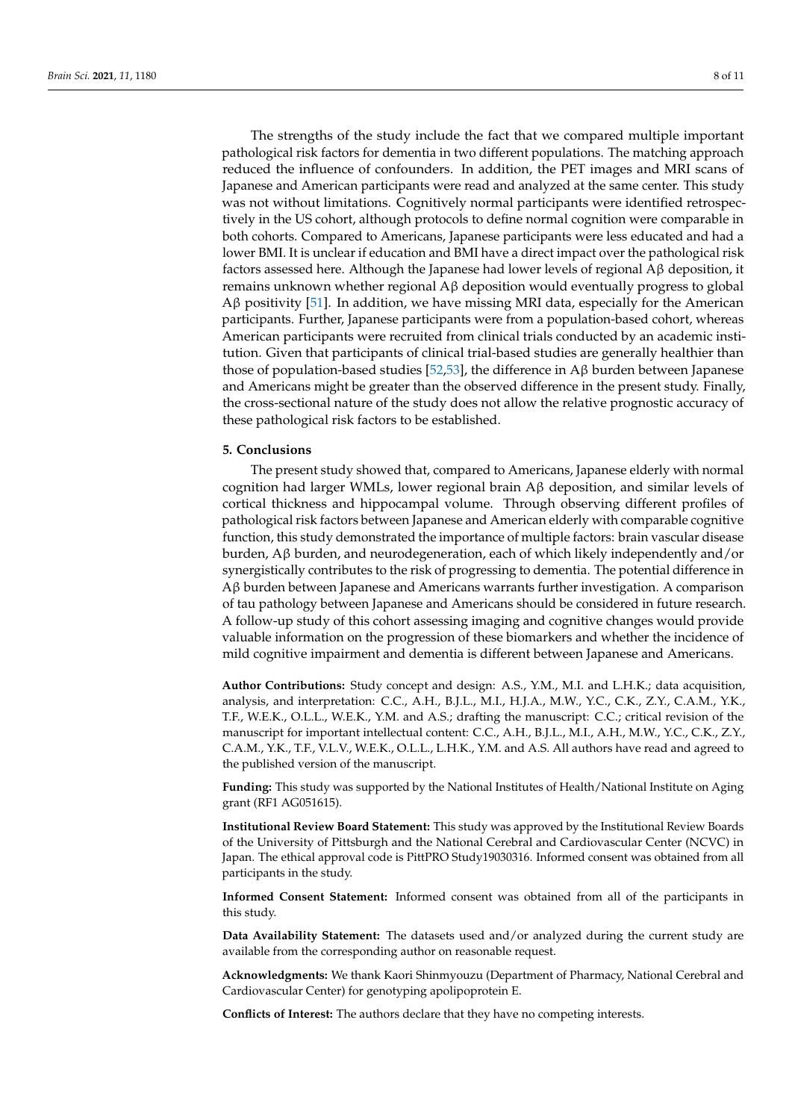The strengths of the study include the fact that we compared multiple important pathological risk factors for dementia in two different populations. The matching approach reduced the influence of confounders. In addition, the PET images and MRI scans of Japanese and American participants were read and analyzed at the same center. This study was not without limitations. Cognitively normal participants were identified retrospectively in the US cohort, although protocols to define normal cognition were comparable in both cohorts. Compared to Americans, Japanese participants were less educated and had a lower BMI. It is unclear if education and BMI have a direct impact over the pathological risk factors assessed here. Although the Japanese had lower levels of regional  $A\beta$  deposition, it remains unknown whether regional Aβ deposition would eventually progress to global Aβ positivity [\[51\]](#page-10-15). In addition, we have missing MRI data, especially for the American participants. Further, Japanese participants were from a population-based cohort, whereas American participants were recruited from clinical trials conducted by an academic institution. Given that participants of clinical trial-based studies are generally healthier than those of population-based studies [\[52,](#page-10-16)[53\]](#page-10-17), the difference in  $\text{A}β$  burden between Japanese and Americans might be greater than the observed difference in the present study. Finally, the cross-sectional nature of the study does not allow the relative prognostic accuracy of these pathological risk factors to be established.

#### **5. Conclusions**

The present study showed that, compared to Americans, Japanese elderly with normal cognition had larger WMLs, lower regional brain Aβ deposition, and similar levels of cortical thickness and hippocampal volume. Through observing different profiles of pathological risk factors between Japanese and American elderly with comparable cognitive function, this study demonstrated the importance of multiple factors: brain vascular disease burden, Aβ burden, and neurodegeneration, each of which likely independently and/or synergistically contributes to the risk of progressing to dementia. The potential difference in Aβ burden between Japanese and Americans warrants further investigation. A comparison of tau pathology between Japanese and Americans should be considered in future research. A follow-up study of this cohort assessing imaging and cognitive changes would provide valuable information on the progression of these biomarkers and whether the incidence of mild cognitive impairment and dementia is different between Japanese and Americans.

**Author Contributions:** Study concept and design: A.S., Y.M., M.I. and L.H.K.; data acquisition, analysis, and interpretation: C.C., A.H., B.J.L., M.I., H.J.A., M.W., Y.C., C.K., Z.Y., C.A.M., Y.K., T.F., W.E.K., O.L.L., W.E.K., Y.M. and A.S.; drafting the manuscript: C.C.; critical revision of the manuscript for important intellectual content: C.C., A.H., B.J.L., M.I., A.H., M.W., Y.C., C.K., Z.Y., C.A.M., Y.K., T.F., V.L.V., W.E.K., O.L.L., L.H.K., Y.M. and A.S. All authors have read and agreed to the published version of the manuscript.

**Funding:** This study was supported by the National Institutes of Health/National Institute on Aging grant (RF1 AG051615).

**Institutional Review Board Statement:** This study was approved by the Institutional Review Boards of the University of Pittsburgh and the National Cerebral and Cardiovascular Center (NCVC) in Japan. The ethical approval code is PittPRO Study19030316. Informed consent was obtained from all participants in the study.

**Informed Consent Statement:** Informed consent was obtained from all of the participants in this study.

**Data Availability Statement:** The datasets used and/or analyzed during the current study are available from the corresponding author on reasonable request.

**Acknowledgments:** We thank Kaori Shinmyouzu (Department of Pharmacy, National Cerebral and Cardiovascular Center) for genotyping apolipoprotein E.

**Conflicts of Interest:** The authors declare that they have no competing interests.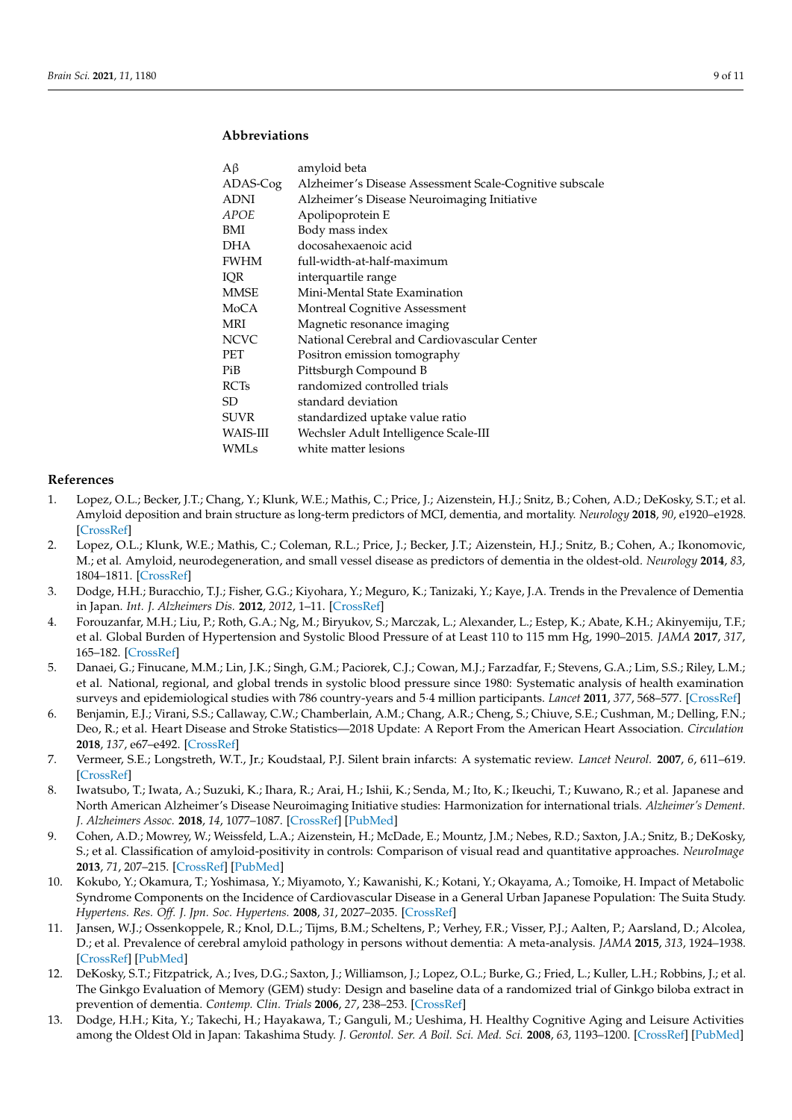### **Abbreviations**

| Aβ          | amyloid beta                                            |
|-------------|---------------------------------------------------------|
| ADAS-Cog    | Alzheimer's Disease Assessment Scale-Cognitive subscale |
| <b>ADNI</b> | Alzheimer's Disease Neuroimaging Initiative             |
| APOE        | Apolipoprotein E                                        |
| BMI         | Body mass index                                         |
| DHA         | docosahexaenoic acid                                    |
| <b>FWHM</b> | full-width-at-half-maximum                              |
| IQR         | interquartile range                                     |
| MMSE        | Mini-Mental State Examination                           |
| MoCA        | <b>Montreal Cognitive Assessment</b>                    |
| MRI         | Magnetic resonance imaging                              |
| <b>NCVC</b> | National Cerebral and Cardiovascular Center             |
| PET         | Positron emission tomography                            |
| PiB         | Pittsburgh Compound B                                   |
| <b>RCTs</b> | randomized controlled trials                            |
| SD.         | standard deviation                                      |
| <b>SUVR</b> | standardized uptake value ratio                         |
| WAIS-III    | Wechsler Adult Intelligence Scale-III                   |
| <b>WMLs</b> | white matter lesions                                    |
|             |                                                         |

#### **References**

- <span id="page-8-0"></span>1. Lopez, O.L.; Becker, J.T.; Chang, Y.; Klunk, W.E.; Mathis, C.; Price, J.; Aizenstein, H.J.; Snitz, B.; Cohen, A.D.; DeKosky, S.T.; et al. Amyloid deposition and brain structure as long-term predictors of MCI, dementia, and mortality. *Neurology* **2018**, *90*, e1920–e1928. [\[CrossRef\]](http://doi.org/10.1212/WNL.0000000000005549)
- <span id="page-8-1"></span>2. Lopez, O.L.; Klunk, W.E.; Mathis, C.; Coleman, R.L.; Price, J.; Becker, J.T.; Aizenstein, H.J.; Snitz, B.; Cohen, A.; Ikonomovic, M.; et al. Amyloid, neurodegeneration, and small vessel disease as predictors of dementia in the oldest-old. *Neurology* **2014**, *83*, 1804–1811. [\[CrossRef\]](http://doi.org/10.1212/WNL.0000000000000977)
- <span id="page-8-2"></span>3. Dodge, H.H.; Buracchio, T.J.; Fisher, G.G.; Kiyohara, Y.; Meguro, K.; Tanizaki, Y.; Kaye, J.A. Trends in the Prevalence of Dementia in Japan. *Int. J. Alzheimers Dis.* **2012**, *2012*, 1–11. [\[CrossRef\]](http://doi.org/10.1155/2012/956354)
- <span id="page-8-3"></span>4. Forouzanfar, M.H.; Liu, P.; Roth, G.A.; Ng, M.; Biryukov, S.; Marczak, L.; Alexander, L.; Estep, K.; Abate, K.H.; Akinyemiju, T.F.; et al. Global Burden of Hypertension and Systolic Blood Pressure of at Least 110 to 115 mm Hg, 1990–2015. *JAMA* **2017**, *317*, 165–182. [\[CrossRef\]](http://doi.org/10.1001/jama.2016.19043)
- <span id="page-8-4"></span>5. Danaei, G.; Finucane, M.M.; Lin, J.K.; Singh, G.M.; Paciorek, C.J.; Cowan, M.J.; Farzadfar, F.; Stevens, G.A.; Lim, S.S.; Riley, L.M.; et al. National, regional, and global trends in systolic blood pressure since 1980: Systematic analysis of health examination surveys and epidemiological studies with 786 country-years and 5·4 million participants. *Lancet* **2011**, *377*, 568–577. [\[CrossRef\]](http://doi.org/10.1016/S0140-6736(10)62036-3)
- <span id="page-8-5"></span>6. Benjamin, E.J.; Virani, S.S.; Callaway, C.W.; Chamberlain, A.M.; Chang, A.R.; Cheng, S.; Chiuve, S.E.; Cushman, M.; Delling, F.N.; Deo, R.; et al. Heart Disease and Stroke Statistics—2018 Update: A Report From the American Heart Association. *Circulation* **2018**, *137*, e67–e492. [\[CrossRef\]](http://doi.org/10.1161/CIR.0000000000000558)
- <span id="page-8-6"></span>7. Vermeer, S.E.; Longstreth, W.T., Jr.; Koudstaal, P.J. Silent brain infarcts: A systematic review. *Lancet Neurol.* **2007**, *6*, 611–619. [\[CrossRef\]](http://doi.org/10.1016/S1474-4422(07)70170-9)
- <span id="page-8-7"></span>8. Iwatsubo, T.; Iwata, A.; Suzuki, K.; Ihara, R.; Arai, H.; Ishii, K.; Senda, M.; Ito, K.; Ikeuchi, T.; Kuwano, R.; et al. Japanese and North American Alzheimer's Disease Neuroimaging Initiative studies: Harmonization for international trials. *Alzheimer's Dement. J. Alzheimers Assoc.* **2018**, *14*, 1077–1087. [\[CrossRef\]](http://doi.org/10.1016/j.jalz.2018.03.009) [\[PubMed\]](http://www.ncbi.nlm.nih.gov/pubmed/29753531)
- <span id="page-8-8"></span>9. Cohen, A.D.; Mowrey, W.; Weissfeld, L.A.; Aizenstein, H.; McDade, E.; Mountz, J.M.; Nebes, R.D.; Saxton, J.A.; Snitz, B.; DeKosky, S.; et al. Classification of amyloid-positivity in controls: Comparison of visual read and quantitative approaches. *NeuroImage* **2013**, *71*, 207–215. [\[CrossRef\]](http://doi.org/10.1016/j.neuroimage.2013.01.015) [\[PubMed\]](http://www.ncbi.nlm.nih.gov/pubmed/23353602)
- <span id="page-8-9"></span>10. Kokubo, Y.; Okamura, T.; Yoshimasa, Y.; Miyamoto, Y.; Kawanishi, K.; Kotani, Y.; Okayama, A.; Tomoike, H. Impact of Metabolic Syndrome Components on the Incidence of Cardiovascular Disease in a General Urban Japanese Population: The Suita Study. *Hypertens. Res. Off. J. Jpn. Soc. Hypertens.* **2008**, *31*, 2027–2035. [\[CrossRef\]](http://doi.org/10.1291/hypres.31.2027)
- <span id="page-8-10"></span>11. Jansen, W.J.; Ossenkoppele, R.; Knol, D.L.; Tijms, B.M.; Scheltens, P.; Verhey, F.R.; Visser, P.J.; Aalten, P.; Aarsland, D.; Alcolea, D.; et al. Prevalence of cerebral amyloid pathology in persons without dementia: A meta-analysis. *JAMA* **2015**, *313*, 1924–1938. [\[CrossRef\]](http://doi.org/10.1001/jama.2015.4668) [\[PubMed\]](http://www.ncbi.nlm.nih.gov/pubmed/25988462)
- <span id="page-8-11"></span>12. DeKosky, S.T.; Fitzpatrick, A.; Ives, D.G.; Saxton, J.; Williamson, J.; Lopez, O.L.; Burke, G.; Fried, L.; Kuller, L.H.; Robbins, J.; et al. The Ginkgo Evaluation of Memory (GEM) study: Design and baseline data of a randomized trial of Ginkgo biloba extract in prevention of dementia. *Contemp. Clin. Trials* **2006**, *27*, 238–253. [\[CrossRef\]](http://doi.org/10.1016/j.cct.2006.02.007)
- 13. Dodge, H.H.; Kita, Y.; Takechi, H.; Hayakawa, T.; Ganguli, M.; Ueshima, H. Healthy Cognitive Aging and Leisure Activities among the Oldest Old in Japan: Takashima Study. *J. Gerontol. Ser. A Boil. Sci. Med. Sci.* **2008**, *63*, 1193–1200. [\[CrossRef\]](http://doi.org/10.1093/gerona/63.11.1193) [\[PubMed\]](http://www.ncbi.nlm.nih.gov/pubmed/19038834)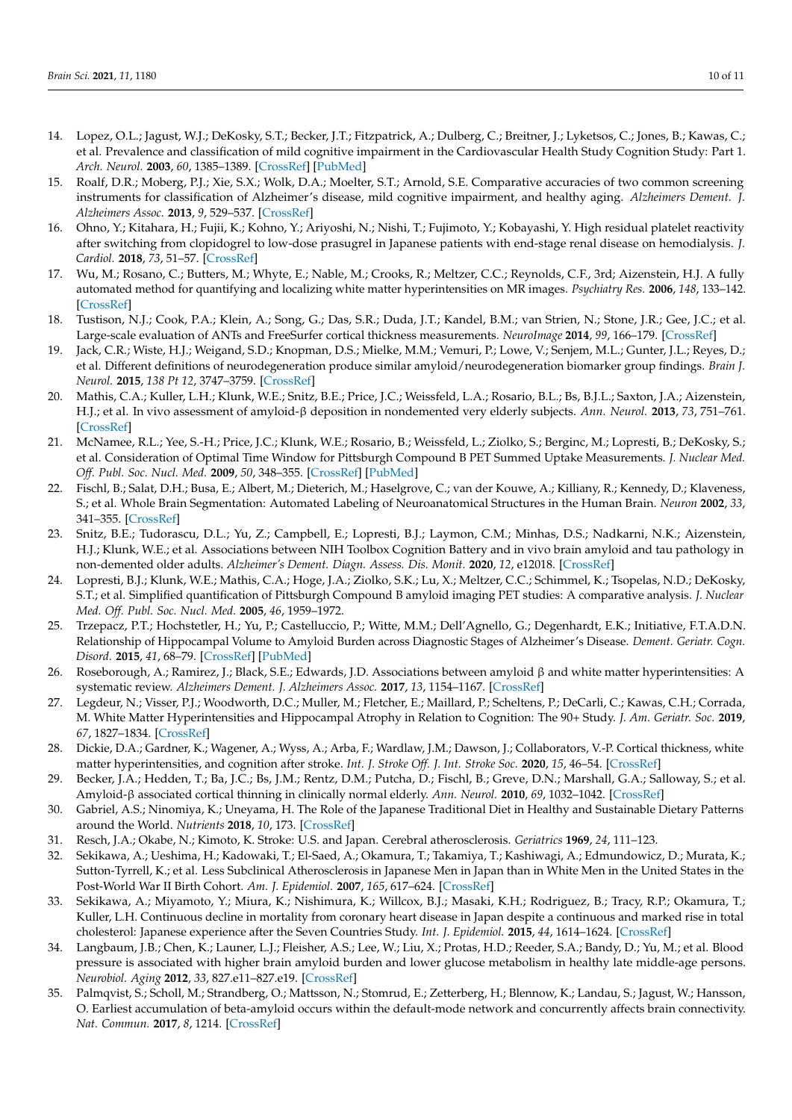- <span id="page-9-0"></span>14. Lopez, O.L.; Jagust, W.J.; DeKosky, S.T.; Becker, J.T.; Fitzpatrick, A.; Dulberg, C.; Breitner, J.; Lyketsos, C.; Jones, B.; Kawas, C.; et al. Prevalence and classification of mild cognitive impairment in the Cardiovascular Health Study Cognition Study: Part 1. *Arch. Neurol.* **2003**, *60*, 1385–1389. [\[CrossRef\]](http://doi.org/10.1001/archneur.60.10.1385) [\[PubMed\]](http://www.ncbi.nlm.nih.gov/pubmed/14568808)
- <span id="page-9-1"></span>15. Roalf, D.R.; Moberg, P.J.; Xie, S.X.; Wolk, D.A.; Moelter, S.T.; Arnold, S.E. Comparative accuracies of two common screening instruments for classification of Alzheimer's disease, mild cognitive impairment, and healthy aging. *Alzheimers Dement. J. Alzheimers Assoc.* **2013**, *9*, 529–537. [\[CrossRef\]](http://doi.org/10.1016/j.jalz.2012.10.001)
- <span id="page-9-2"></span>16. Ohno, Y.; Kitahara, H.; Fujii, K.; Kohno, Y.; Ariyoshi, N.; Nishi, T.; Fujimoto, Y.; Kobayashi, Y. High residual platelet reactivity after switching from clopidogrel to low-dose prasugrel in Japanese patients with end-stage renal disease on hemodialysis. *J. Cardiol.* **2018**, *73*, 51–57. [\[CrossRef\]](http://doi.org/10.1016/j.jjcc.2018.07.001)
- <span id="page-9-3"></span>17. Wu, M.; Rosano, C.; Butters, M.; Whyte, E.; Nable, M.; Crooks, R.; Meltzer, C.C.; Reynolds, C.F., 3rd; Aizenstein, H.J. A fully automated method for quantifying and localizing white matter hyperintensities on MR images. *Psychiatry Res.* **2006**, *148*, 133–142. [\[CrossRef\]](http://doi.org/10.1016/j.pscychresns.2006.09.003)
- <span id="page-9-4"></span>18. Tustison, N.J.; Cook, P.A.; Klein, A.; Song, G.; Das, S.R.; Duda, J.T.; Kandel, B.M.; van Strien, N.; Stone, J.R.; Gee, J.C.; et al. Large-scale evaluation of ANTs and FreeSurfer cortical thickness measurements. *NeuroImage* **2014**, *99*, 166–179. [\[CrossRef\]](http://doi.org/10.1016/j.neuroimage.2014.05.044)
- <span id="page-9-5"></span>19. Jack, C.R.; Wiste, H.J.; Weigand, S.D.; Knopman, D.S.; Mielke, M.M.; Vemuri, P.; Lowe, V.; Senjem, M.L.; Gunter, J.L.; Reyes, D.; et al. Different definitions of neurodegeneration produce similar amyloid/neurodegeneration biomarker group findings. *Brain J. Neurol.* **2015**, *138 Pt 12*, 3747–3759. [\[CrossRef\]](http://doi.org/10.1093/brain/awv283)
- <span id="page-9-6"></span>20. Mathis, C.A.; Kuller, L.H.; Klunk, W.E.; Snitz, B.E.; Price, J.C.; Weissfeld, L.A.; Rosario, B.L.; Bs, B.J.L.; Saxton, J.A.; Aizenstein, H.J.; et al. In vivo assessment of amyloid-β deposition in nondemented very elderly subjects. *Ann. Neurol.* **2013**, *73*, 751–761. [\[CrossRef\]](http://doi.org/10.1002/ana.23797)
- <span id="page-9-7"></span>21. McNamee, R.L.; Yee, S.-H.; Price, J.C.; Klunk, W.E.; Rosario, B.; Weissfeld, L.; Ziolko, S.; Berginc, M.; Lopresti, B.; DeKosky, S.; et al. Consideration of Optimal Time Window for Pittsburgh Compound B PET Summed Uptake Measurements. *J. Nuclear Med. Off. Publ. Soc. Nucl. Med.* **2009**, *50*, 348–355. [\[CrossRef\]](http://doi.org/10.2967/jnumed.108.057612) [\[PubMed\]](http://www.ncbi.nlm.nih.gov/pubmed/19223409)
- <span id="page-9-8"></span>22. Fischl, B.; Salat, D.H.; Busa, E.; Albert, M.; Dieterich, M.; Haselgrove, C.; van der Kouwe, A.; Killiany, R.; Kennedy, D.; Klaveness, S.; et al. Whole Brain Segmentation: Automated Labeling of Neuroanatomical Structures in the Human Brain. *Neuron* **2002**, *33*, 341–355. [\[CrossRef\]](http://doi.org/10.1016/S0896-6273(02)00569-X)
- <span id="page-9-9"></span>23. Snitz, B.E.; Tudorascu, D.L.; Yu, Z.; Campbell, E.; Lopresti, B.J.; Laymon, C.M.; Minhas, D.S.; Nadkarni, N.K.; Aizenstein, H.J.; Klunk, W.E.; et al. Associations between NIH Toolbox Cognition Battery and in vivo brain amyloid and tau pathology in non-demented older adults. *Alzheimer's Dement. Diagn. Assess. Dis. Monit.* **2020**, *12*, e12018. [\[CrossRef\]](http://doi.org/10.1002/dad2.12018)
- <span id="page-9-10"></span>24. Lopresti, B.J.; Klunk, W.E.; Mathis, C.A.; Hoge, J.A.; Ziolko, S.K.; Lu, X.; Meltzer, C.C.; Schimmel, K.; Tsopelas, N.D.; DeKosky, S.T.; et al. Simplified quantification of Pittsburgh Compound B amyloid imaging PET studies: A comparative analysis. *J. Nuclear Med. Off. Publ. Soc. Nucl. Med.* **2005**, *46*, 1959–1972.
- <span id="page-9-11"></span>25. Trzepacz, P.T.; Hochstetler, H.; Yu, P.; Castelluccio, P.; Witte, M.M.; Dell'Agnello, G.; Degenhardt, E.K.; Initiative, F.T.A.D.N. Relationship of Hippocampal Volume to Amyloid Burden across Diagnostic Stages of Alzheimer's Disease. *Dement. Geriatr. Cogn. Disord.* **2015**, *41*, 68–79. [\[CrossRef\]](http://doi.org/10.1159/000441351) [\[PubMed\]](http://www.ncbi.nlm.nih.gov/pubmed/26625159)
- 26. Roseborough, A.; Ramirez, J.; Black, S.E.; Edwards, J.D. Associations between amyloid β and white matter hyperintensities: A systematic review. *Alzheimers Dement. J. Alzheimers Assoc.* **2017**, *13*, 1154–1167. [\[CrossRef\]](http://doi.org/10.1016/j.jalz.2017.01.026)
- <span id="page-9-12"></span>27. Legdeur, N.; Visser, P.J.; Woodworth, D.C.; Muller, M.; Fletcher, E.; Maillard, P.; Scheltens, P.; DeCarli, C.; Kawas, C.H.; Corrada, M. White Matter Hyperintensities and Hippocampal Atrophy in Relation to Cognition: The 90+ Study. *J. Am. Geriatr. Soc.* **2019**, *67*, 1827–1834. [\[CrossRef\]](http://doi.org/10.1111/jgs.15990)
- <span id="page-9-13"></span>28. Dickie, D.A.; Gardner, K.; Wagener, A.; Wyss, A.; Arba, F.; Wardlaw, J.M.; Dawson, J.; Collaborators, V.-P. Cortical thickness, white matter hyperintensities, and cognition after stroke. *Int. J. Stroke Off. J. Int. Stroke Soc.* **2020**, *15*, 46–54. [\[CrossRef\]](http://doi.org/10.1177/1747493019851291)
- <span id="page-9-14"></span>29. Becker, J.A.; Hedden, T.; Ba, J.C.; Bs, J.M.; Rentz, D.M.; Putcha, D.; Fischl, B.; Greve, D.N.; Marshall, G.A.; Salloway, S.; et al. Amyloid-β associated cortical thinning in clinically normal elderly. *Ann. Neurol.* **2010**, *69*, 1032–1042. [\[CrossRef\]](http://doi.org/10.1002/ana.22333)
- <span id="page-9-15"></span>30. Gabriel, A.S.; Ninomiya, K.; Uneyama, H. The Role of the Japanese Traditional Diet in Healthy and Sustainable Dietary Patterns around the World. *Nutrients* **2018**, *10*, 173. [\[CrossRef\]](http://doi.org/10.3390/nu10020173)
- <span id="page-9-16"></span>31. Resch, J.A.; Okabe, N.; Kimoto, K. Stroke: U.S. and Japan. Cerebral atherosclerosis. *Geriatrics* **1969**, *24*, 111–123.
- <span id="page-9-17"></span>32. Sekikawa, A.; Ueshima, H.; Kadowaki, T.; El-Saed, A.; Okamura, T.; Takamiya, T.; Kashiwagi, A.; Edmundowicz, D.; Murata, K.; Sutton-Tyrrell, K.; et al. Less Subclinical Atherosclerosis in Japanese Men in Japan than in White Men in the United States in the Post-World War II Birth Cohort. *Am. J. Epidemiol.* **2007**, *165*, 617–624. [\[CrossRef\]](http://doi.org/10.1093/aje/kwk053)
- <span id="page-9-18"></span>33. Sekikawa, A.; Miyamoto, Y.; Miura, K.; Nishimura, K.; Willcox, B.J.; Masaki, K.H.; Rodriguez, B.; Tracy, R.P.; Okamura, T.; Kuller, L.H. Continuous decline in mortality from coronary heart disease in Japan despite a continuous and marked rise in total cholesterol: Japanese experience after the Seven Countries Study. *Int. J. Epidemiol.* **2015**, *44*, 1614–1624. [\[CrossRef\]](http://doi.org/10.1093/ije/dyv143)
- <span id="page-9-19"></span>34. Langbaum, J.B.; Chen, K.; Launer, L.J.; Fleisher, A.S.; Lee, W.; Liu, X.; Protas, H.D.; Reeder, S.A.; Bandy, D.; Yu, M.; et al. Blood pressure is associated with higher brain amyloid burden and lower glucose metabolism in healthy late middle-age persons. *Neurobiol. Aging* **2012**, *33*, 827.e11–827.e19. [\[CrossRef\]](http://doi.org/10.1016/j.neurobiolaging.2011.06.020)
- <span id="page-9-20"></span>35. Palmqvist, S.; Scholl, M.; Strandberg, O.; Mattsson, N.; Stomrud, E.; Zetterberg, H.; Blennow, K.; Landau, S.; Jagust, W.; Hansson, O. Earliest accumulation of beta-amyloid occurs within the default-mode network and concurrently affects brain connectivity. *Nat. Commun.* **2017**, *8*, 1214. [\[CrossRef\]](http://doi.org/10.1038/s41467-017-01150-x)